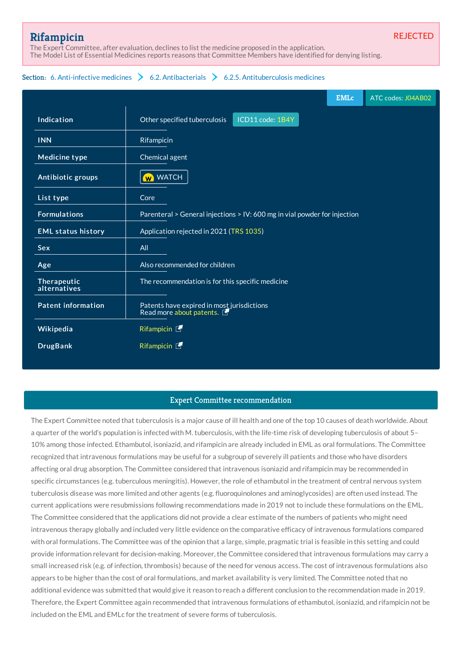REJECTED

# **[Rifampicin](http://list.essentialmeds.org/medicines/294)**

The Expert Committee, after evaluation, declines to list the medicine proposed in the application. The Model List of Essential Medicines reports reasons that Committee Members have identified for denying listing.

## Section: 6. [Anti-infective](http://list.essentialmeds.org/?section=332) medicines  $\geq 6.2$ . [Antibacterials](http://list.essentialmeds.org/?section=337)  $\geq 6.2.5$ . [Antituberculosis](http://list.essentialmeds.org/?section=341) medicines

|                             |                                                                           | <b>EMLc</b> | ATC codes: J04AB02 |
|-----------------------------|---------------------------------------------------------------------------|-------------|--------------------|
| Indication                  | ICD11 code: 1B4Y<br>Other specified tuberculosis                          |             |                    |
| <b>INN</b>                  | Rifampicin                                                                |             |                    |
| <b>Medicine type</b>        | Chemical agent                                                            |             |                    |
| Antibiotic groups           | <b>W</b> WATCH                                                            |             |                    |
| List type                   | Core                                                                      |             |                    |
| <b>Formulations</b>         | Parenteral > General injections > IV: 600 mg in vial powder for injection |             |                    |
| <b>EML status history</b>   | Application rejected in 2021 (TRS 1035)                                   |             |                    |
| <b>Sex</b>                  | All                                                                       |             |                    |
| Age                         | Also recommended for children                                             |             |                    |
| Therapeutic<br>alternatives | The recommendation is for this specific medicine                          |             |                    |
| <b>Patent information</b>   | Patents have expired in most jurisdictions<br>Read more about patents.    |             |                    |
| Wikipedia                   | Rifampicin [                                                              |             |                    |
| <b>DrugBank</b>             | Rifampicin [                                                              |             |                    |

### Expert Committee recommendation

The Expert Committee noted that tuberculosis is a major cause of ill health and one of the top 10 causes of death worldwide. About a quarter of the world's population is infected with M. tuberculosis, with the life-time risk of developing tuberculosis of about 5– 10% among those infected. Ethambutol, isoniazid, and rifampicin are already included in EML as oral formulations. The Committee recognized that intravenous formulations may be useful for a subgroup of severely ill patients and those who have disorders affecting oral drug absorption. The Committee considered that intravenous isoniazid and rifampicin may be recommended in specific circumstances (e.g. tuberculous meningitis). However, the role of ethambutol in the treatment of central nervous system tuberculosis disease was more limited and other agents (e.g. fluoroquinolones and aminoglycosides) are often used instead. The current applications were resubmissions following recommendations made in 2019 not to include these formulations on the EML. The Committee considered that the applications did not provide a clear estimate of the numbers of patients who might need intravenous therapy globally and included very little evidence on the comparative efficacy of intravenous formulations compared with oral formulations. The Committee was of the opinion that a large, simple, pragmatic trial is feasible in this setting and could provide information relevant for decision-making. Moreover, the Committee considered that intravenous formulations may carry a small increased risk (e.g. of infection, thrombosis) because of the need for venous access. The cost of intravenous formulations also appears to be higher than the cost of oral formulations, and market availability is very limited. The Committee noted that no additional evidence was submitted that would give it reason to reach a different conclusion to the recommendation made in 2019. Therefore, the Expert Committee again recommended that intravenous formulations of ethambutol, isoniazid, and rifampicin not be included on the EML and EMLc for the treatment of severe forms of tuberculosis.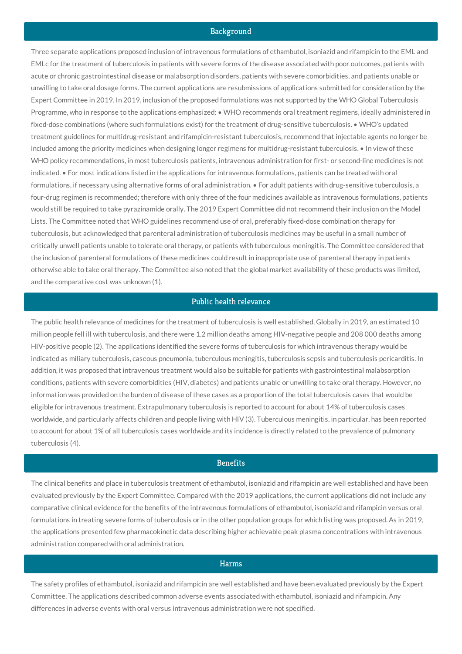#### Background

Three separate applications proposed inclusion of intravenous formulations of ethambutol, isoniazid and rifampicin to the EML and EMLc for the treatment of tuberculosis in patients with severe forms of the disease associated with poor outcomes, patients with acute or chronic gastrointestinal disease or malabsorption disorders, patients with severe comorbidities, and patients unable or unwilling to take oral dosage forms. The current applications are resubmissions of applications submitted for consideration by the Expert Committee in 2019. In 2019, inclusion of the proposed formulations was not supported by the WHO Global Tuberculosis Programme, who in response to the applications emphasized: • WHO recommends oral treatment regimens, ideally administered in fixed-dose combinations (where such formulations exist) for the treatment of drug-sensitive tuberculosis. • WHO's updated treatment guidelines for multidrug-resistant and rifampicin-resistant tuberculosis, recommend that injectable agents no longer be included among the priority medicines when designing longer regimens for multidrug-resistant tuberculosis. • In view of these WHO policy recommendations, in most tuberculosis patients, intravenous administration for first- or second-line medicines is not indicated. • For most indications listed in the applications for intravenous formulations, patients can be treated with oral formulations, if necessary using alternative forms of oral administration. • For adult patients with drug-sensitive tuberculosis, a four-drug regimen is recommended; therefore with only three of the four medicines available as intravenous formulations, patients would still be required to take pyrazinamide orally. The 2019 Expert Committee did not recommend their inclusion on the Model Lists. The Committee noted that WHO guidelines recommend use of oral, preferably fixed-dose combination therapy for tuberculosis, but acknowledged that parenteral administration of tuberculosis medicines may be useful in a small number of critically unwell patients unable to tolerate oral therapy, or patients with tuberculous meningitis. The Committee considered that the inclusion of parenteral formulations of these medicines could result in inappropriate use of parenteral therapy in patients otherwise able to take oral therapy. The Committee also noted that the global market availability of these products was limited, and the comparative cost was unknown (1).

## Public health relevance

The public health relevance of medicines for the treatment of tuberculosis is well established. Globally in 2019, an estimated 10 million people fell ill with tuberculosis, and there were 1.2 million deaths among HIV-negative people and 208 000 deaths among HIV-positive people (2). The applications identified the severe forms of tuberculosis for which intravenous therapy would be indicated as miliary tuberculosis, caseous pneumonia, tuberculous meningitis, tuberculosis sepsis and tuberculosis pericarditis. In addition, it was proposed that intravenous treatment would also be suitable for patients with gastrointestinal malabsorption conditions, patients with severe comorbidities (HIV, diabetes) and patients unable or unwilling to take oral therapy. However, no information was provided on the burden of disease of these cases as a proportion of the total tuberculosis cases that would be eligible for intravenous treatment. Extrapulmonary tuberculosis is reported to account for about 14% of tuberculosis cases worldwide, and particularly affects children and people living with HIV (3). Tuberculous meningitis, in particular, has been reported to account for about 1% of all tuberculosis cases worldwide and its incidence is directly related to the prevalence of pulmonary tuberculosis (4).

#### **Benefits**

The clinical benefits and place in tuberculosis treatment of ethambutol, isoniazid and rifampicin are well established and have been evaluated previously by the Expert Committee. Compared with the 2019 applications, the current applications did not include any comparative clinical evidence for the benefits of the intravenous formulations of ethambutol, isoniazid and rifampicin versus oral formulations in treating severe forms of tuberculosis or in the other population groups for which listing was proposed. As in 2019, the applications presented few pharmacokinetic data describing higher achievable peak plasma concentrations with intravenous administration compared with oral administration.

## **Harms**

The safety profiles of ethambutol, isoniazid and rifampicin are well established and have been evaluated previously by the Expert Committee. The applications described common adverse events associated with ethambutol, isoniazid and rifampicin. Any differences in adverse events with oral versus intravenous administration were not specified.